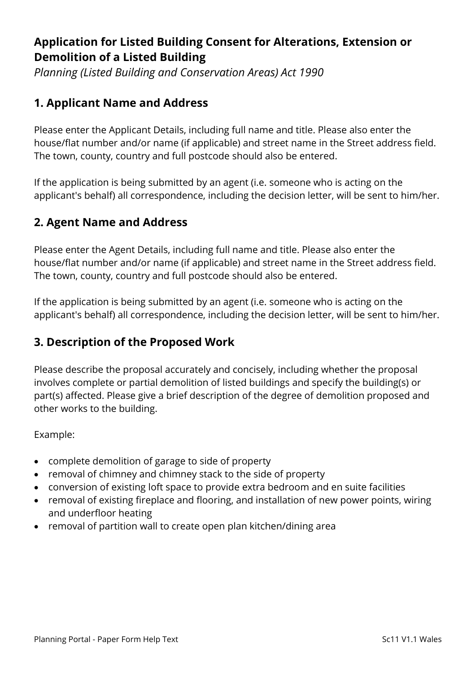# **Application for Listed Building Consent for Alterations, Extension or Demolition of a Listed Building**

*Planning (Listed Building and Conservation Areas) Act 1990*

## **1. Applicant Name and Address**

Please enter the Applicant Details, including full name and title. Please also enter the house/flat number and/or name (if applicable) and street name in the Street address field. The town, county, country and full postcode should also be entered.

If the application is being submitted by an agent (i.e. someone who is acting on the applicant's behalf) all correspondence, including the decision letter, will be sent to him/her.

# **2. Agent Name and Address**

Please enter the Agent Details, including full name and title. Please also enter the house/flat number and/or name (if applicable) and street name in the Street address field. The town, county, country and full postcode should also be entered.

If the application is being submitted by an agent (i.e. someone who is acting on the applicant's behalf) all correspondence, including the decision letter, will be sent to him/her.

### **3. Description of the Proposed Work**

Please describe the proposal accurately and concisely, including whether the proposal involves complete or partial demolition of listed buildings and specify the building(s) or part(s) affected. Please give a brief description of the degree of demolition proposed and other works to the building.

Example:

- complete demolition of garage to side of property
- removal of chimney and chimney stack to the side of property
- conversion of existing loft space to provide extra bedroom and en suite facilities
- removal of existing fireplace and flooring, and installation of new power points, wiring and underfloor heating
- removal of partition wall to create open plan kitchen/dining area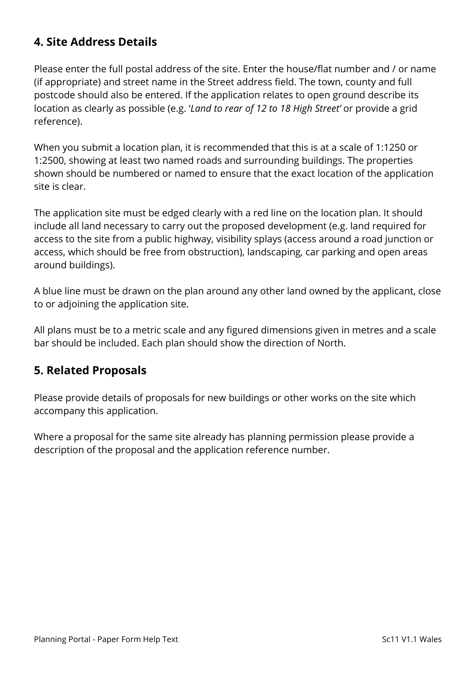# **4. Site Address Details**

Please enter the full postal address of the site. Enter the house/flat number and / or name (if appropriate) and street name in the Street address field. The town, county and full postcode should also be entered. If the application relates to open ground describe its location as clearly as possible (e.g. '*Land to rear of 12 to 18 High Street'* or provide a grid reference).

When you submit a location plan, it is recommended that this is at a scale of 1:1250 or 1:2500, showing at least two named roads and surrounding buildings. The properties shown should be numbered or named to ensure that the exact location of the application site is clear.

The application site must be edged clearly with a red line on the location plan. It should include all land necessary to carry out the proposed development (e.g. land required for access to the site from a public highway, visibility splays (access around a road junction or access, which should be free from obstruction), landscaping, car parking and open areas around buildings).

A blue line must be drawn on the plan around any other land owned by the applicant, close to or adjoining the application site.

All plans must be to a metric scale and any figured dimensions given in metres and a scale bar should be included. Each plan should show the direction of North.

#### **5. Related Proposals**

Please provide details of proposals for new buildings or other works on the site which accompany this application.

Where a proposal for the same site already has planning permission please provide a description of the proposal and the application reference number.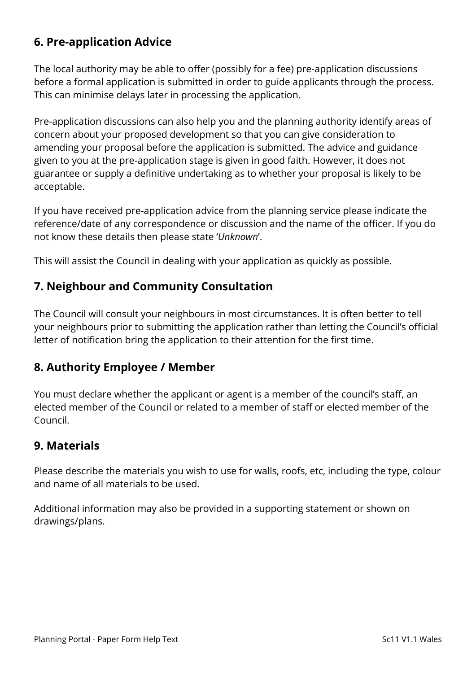# **6. Pre-application Advice**

The local authority may be able to offer (possibly for a fee) pre-application discussions before a formal application is submitted in order to guide applicants through the process. This can minimise delays later in processing the application.

Pre-application discussions can also help you and the planning authority identify areas of concern about your proposed development so that you can give consideration to amending your proposal before the application is submitted. The advice and guidance given to you at the pre-application stage is given in good faith. However, it does not guarantee or supply a definitive undertaking as to whether your proposal is likely to be acceptable.

If you have received pre-application advice from the planning service please indicate the reference/date of any correspondence or discussion and the name of the officer. If you do not know these details then please state '*Unknown*'.

This will assist the Council in dealing with your application as quickly as possible.

## **7. Neighbour and Community Consultation**

The Council will consult your neighbours in most circumstances. It is often better to tell your neighbours prior to submitting the application rather than letting the Council's official letter of notification bring the application to their attention for the first time.

#### **8. Authority Employee / Member**

You must declare whether the applicant or agent is a member of the council's staff, an elected member of the Council or related to a member of staff or elected member of the Council.

### **9. Materials**

Please describe the materials you wish to use for walls, roofs, etc, including the type, colour and name of all materials to be used.

Additional information may also be provided in a supporting statement or shown on drawings/plans.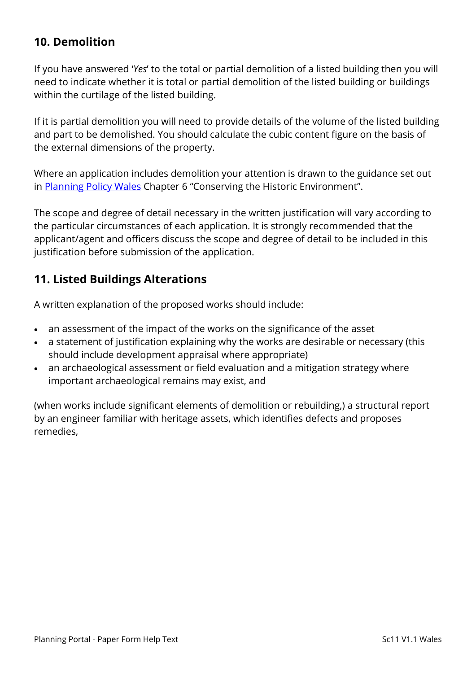## **10. Demolition**

If you have answered '*Yes*' to the total or partial demolition of a listed building then you will need to indicate whether it is total or partial demolition of the listed building or buildings within the curtilage of the listed building.

If it is partial demolition you will need to provide details of the volume of the listed building and part to be demolished. You should calculate the cubic content figure on the basis of the external dimensions of the property.

Where an application includes demolition your attention is drawn to the guidance set out in [Planning Policy Wales](http://gov.wales/topics/planning/policy/ppw/?lang=en) Chapter 6 "Conserving the Historic Environment".

The scope and degree of detail necessary in the written justification will vary according to the particular circumstances of each application. It is strongly recommended that the applicant/agent and officers discuss the scope and degree of detail to be included in this justification before submission of the application.

## **11. Listed Buildings Alterations**

A written explanation of the proposed works should include:

- an assessment of the impact of the works on the significance of the asset
- a statement of justification explaining why the works are desirable or necessary (this should include development appraisal where appropriate)
- an archaeological assessment or field evaluation and a mitigation strategy where important archaeological remains may exist, and

(when works include significant elements of demolition or rebuilding,) a structural report by an engineer familiar with heritage assets, which identifies defects and proposes remedies,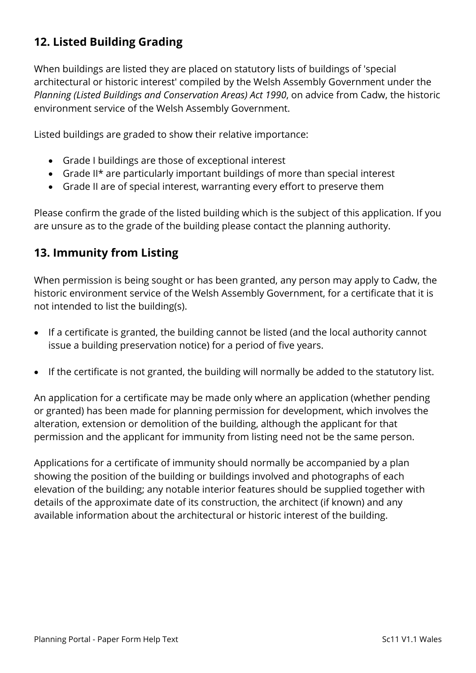# **12. Listed Building Grading**

When buildings are listed they are placed on statutory lists of buildings of 'special architectural or historic interest' compiled by the Welsh Assembly Government under the *Planning (Listed Buildings and Conservation Areas) Act 1990*, on advice from Cadw, the historic environment service of the Welsh Assembly Government.

Listed buildings are graded to show their relative importance:

- Grade I buildings are those of exceptional interest
- Grade II\* are particularly important buildings of more than special interest
- Grade II are of special interest, warranting every effort to preserve them

Please confirm the grade of the listed building which is the subject of this application. If you are unsure as to the grade of the building please contact the planning authority.

# **13. Immunity from Listing**

When permission is being sought or has been granted, any person may apply to Cadw, the historic environment service of the Welsh Assembly Government, for a certificate that it is not intended to list the building(s).

- If a certificate is granted, the building cannot be listed (and the local authority cannot issue a building preservation notice) for a period of five years.
- If the certificate is not granted, the building will normally be added to the statutory list.

An application for a certificate may be made only where an application (whether pending or granted) has been made for planning permission for development, which involves the alteration, extension or demolition of the building, although the applicant for that permission and the applicant for immunity from listing need not be the same person.

Applications for a certificate of immunity should normally be accompanied by a plan showing the position of the building or buildings involved and photographs of each elevation of the building; any notable interior features should be supplied together with details of the approximate date of its construction, the architect (if known) and any available information about the architectural or historic interest of the building.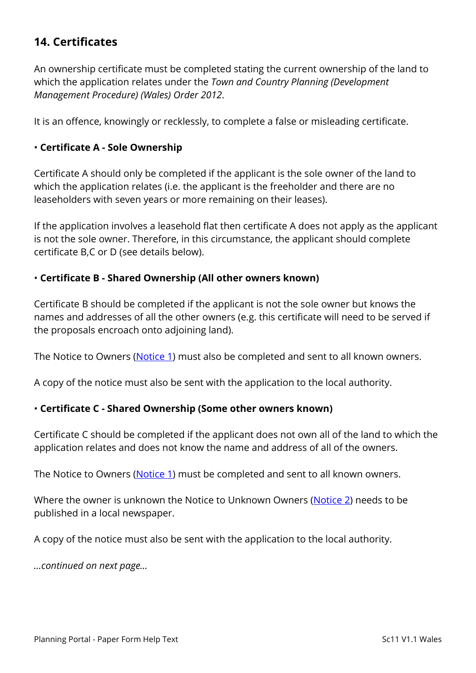## **14. Certificates**

An ownership certificate must be completed stating the current ownership of the land to which the application relates under the *Town and Country Planning (Development Management Procedure) (Wales) Order 2012*.

It is an offence, knowingly or recklessly, to complete a false or misleading certificate.

#### • **Certificate A - Sole Ownership**

Certificate A should only be completed if the applicant is the sole owner of the land to which the application relates (i.e. the applicant is the freeholder and there are no leaseholders with seven years or more remaining on their leases).

If the application involves a leasehold flat then certificate A does not apply as the applicant is not the sole owner. Therefore, in this circumstance, the applicant should complete certificate B,C or D (see details below).

#### • **Certificate B - Shared Ownership (All other owners known)**

Certificate B should be completed if the applicant is not the sole owner but knows the names and addresses of all the other owners (e.g. this certificate will need to be served if the proposals encroach onto adjoining land).

The Notice to Owners [\(Notice 1\)](https://ecab.planningportal.co.uk/uploads/1app/notices/notice1_wales.pdf) must also be completed and sent to all known owners.

A copy of the notice must also be sent with the application to the local authority.

#### • **Certificate C - Shared Ownership (Some other owners known)**

Certificate C should be completed if the applicant does not own all of the land to which the application relates and does not know the name and address of all of the owners.

The Notice to Owners [\(Notice 1\)](https://ecab.planningportal.co.uk/uploads/1app/notices/notice1_wales.pdf) must be completed and sent to all known owners.

Where the owner is unknown the Notice to Unknown Owners [\(Notice 2\)](https://ecab.planningportal.co.uk/uploads/1app/notices/notice2_wales.pdf) needs to be published in a local newspaper.

A copy of the notice must also be sent with the application to the local authority.

*…continued on next page…*